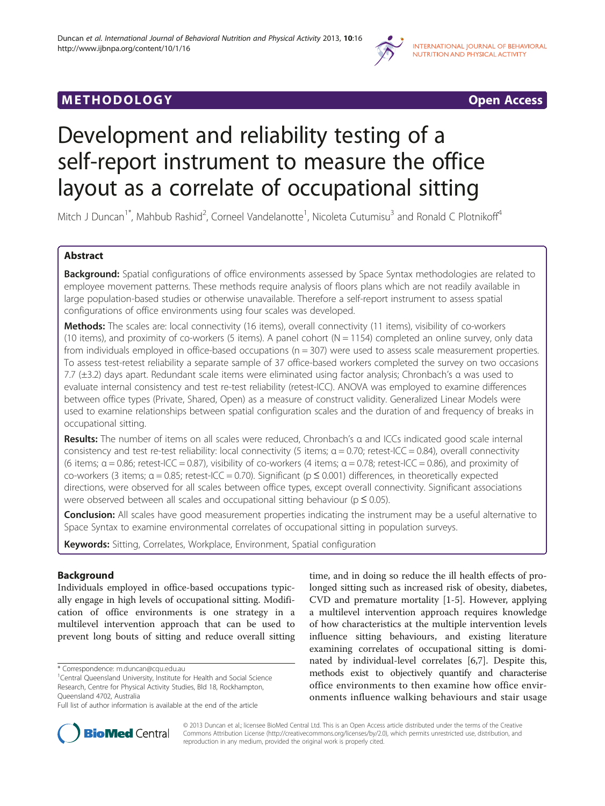

# **METHODOLOGY CONSUMING ACCESS**



# Development and reliability testing of a self-report instrument to measure the office layout as a correlate of occupational sitting

Mitch J Duncan<sup>1\*</sup>, Mahbub Rashid<sup>2</sup>, Corneel Vandelanotte<sup>1</sup>, Nicoleta Cutumisu<sup>3</sup> and Ronald C Plotnikoff<sup>4</sup>

# Abstract

Background: Spatial configurations of office environments assessed by Space Syntax methodologies are related to employee movement patterns. These methods require analysis of floors plans which are not readily available in large population-based studies or otherwise unavailable. Therefore a self-report instrument to assess spatial configurations of office environments using four scales was developed.

Methods: The scales are: local connectivity (16 items), overall connectivity (11 items), visibility of co-workers (10 items), and proximity of co-workers (5 items). A panel cohort  $(N = 1154)$  completed an online survey, only data from individuals employed in office-based occupations ( $n = 307$ ) were used to assess scale measurement properties. To assess test-retest reliability a separate sample of 37 office-based workers completed the survey on two occasions 7.7 (±3.2) days apart. Redundant scale items were eliminated using factor analysis; Chronbach's α was used to evaluate internal consistency and test re-test reliability (retest-ICC). ANOVA was employed to examine differences between office types (Private, Shared, Open) as a measure of construct validity. Generalized Linear Models were used to examine relationships between spatial configuration scales and the duration of and frequency of breaks in occupational sitting.

Results: The number of items on all scales were reduced, Chronbach's α and ICCs indicated good scale internal consistency and test re-test reliability: local connectivity (5 items;  $\alpha = 0.70$ ; retest-ICC = 0.84), overall connectivity (6 items;  $\alpha$  = 0.86; retest-ICC = 0.87), visibility of co-workers (4 items;  $\alpha$  = 0.78; retest-ICC = 0.86), and proximity of co-workers (3 items;  $\alpha = 0.85$ ; retest-ICC = 0.70). Significant ( $p \le 0.001$ ) differences, in theoretically expected directions, were observed for all scales between office types, except overall connectivity. Significant associations were observed between all scales and occupational sitting behaviour ( $p \le 0.05$ ).

Conclusion: All scales have good measurement properties indicating the instrument may be a useful alternative to Space Syntax to examine environmental correlates of occupational sitting in population surveys.

Keywords: Sitting, Correlates, Workplace, Environment, Spatial configuration

# **Background**

Individuals employed in office-based occupations typically engage in high levels of occupational sitting. Modification of office environments is one strategy in a multilevel intervention approach that can be used to prevent long bouts of sitting and reduce overall sitting

Full list of author information is available at the end of the article





© 2013 Duncan et al.; licensee BioMed Central Ltd. This is an Open Access article distributed under the terms of the Creative Commons Attribution License [\(http://creativecommons.org/licenses/by/2.0\)](http://creativecommons.org/licenses/by/2.0), which permits unrestricted use, distribution, and reproduction in any medium, provided the original work is properly cited.

<sup>\*</sup> Correspondence: [m.duncan@cqu.edu.au](mailto:m.duncan@cqu.edu.au) <sup>1</sup>

<sup>&</sup>lt;sup>1</sup> Central Queensland University, Institute for Health and Social Science Research, Centre for Physical Activity Studies, Bld 18, Rockhampton, Queensland 4702, Australia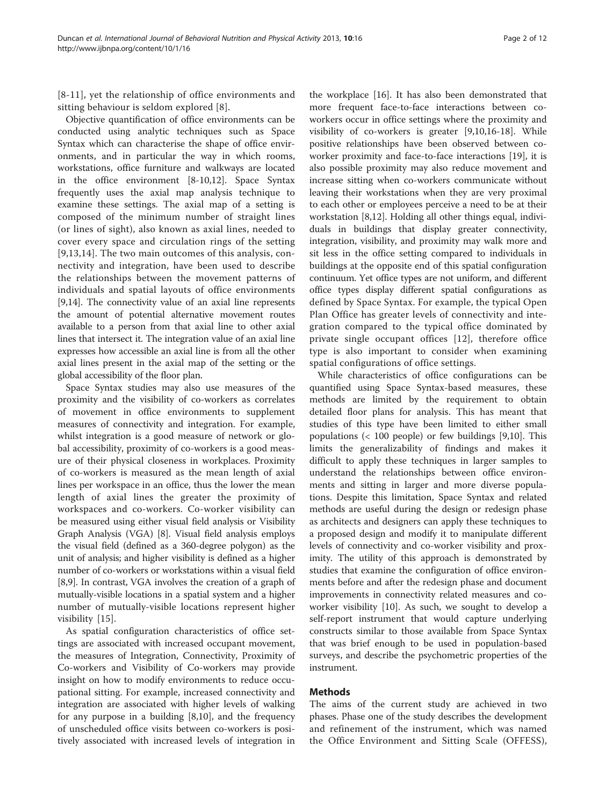[[8](#page-10-0)-[11](#page-10-0)], yet the relationship of office environments and sitting behaviour is seldom explored [[8](#page-10-0)].

Objective quantification of office environments can be conducted using analytic techniques such as Space Syntax which can characterise the shape of office environments, and in particular the way in which rooms, workstations, office furniture and walkways are located in the office environment [[8-10,12](#page-10-0)]. Space Syntax frequently uses the axial map analysis technique to examine these settings. The axial map of a setting is composed of the minimum number of straight lines (or lines of sight), also known as axial lines, needed to cover every space and circulation rings of the setting [[9,13,14](#page-10-0)]. The two main outcomes of this analysis, connectivity and integration, have been used to describe the relationships between the movement patterns of individuals and spatial layouts of office environments [[9,14](#page-10-0)]. The connectivity value of an axial line represents the amount of potential alternative movement routes available to a person from that axial line to other axial lines that intersect it. The integration value of an axial line expresses how accessible an axial line is from all the other axial lines present in the axial map of the setting or the global accessibility of the floor plan.

Space Syntax studies may also use measures of the proximity and the visibility of co-workers as correlates of movement in office environments to supplement measures of connectivity and integration. For example, whilst integration is a good measure of network or global accessibility, proximity of co-workers is a good measure of their physical closeness in workplaces. Proximity of co-workers is measured as the mean length of axial lines per workspace in an office, thus the lower the mean length of axial lines the greater the proximity of workspaces and co-workers. Co-worker visibility can be measured using either visual field analysis or Visibility Graph Analysis (VGA) [\[8\]](#page-10-0). Visual field analysis employs the visual field (defined as a 360-degree polygon) as the unit of analysis; and higher visibility is defined as a higher number of co-workers or workstations within a visual field [[8,9](#page-10-0)]. In contrast, VGA involves the creation of a graph of mutually-visible locations in a spatial system and a higher number of mutually-visible locations represent higher visibility  $|15|$ .

As spatial configuration characteristics of office settings are associated with increased occupant movement, the measures of Integration, Connectivity, Proximity of Co-workers and Visibility of Co-workers may provide insight on how to modify environments to reduce occupational sitting. For example, increased connectivity and integration are associated with higher levels of walking for any purpose in a building [\[8,10](#page-10-0)], and the frequency of unscheduled office visits between co-workers is positively associated with increased levels of integration in

the workplace [[16\]](#page-10-0). It has also been demonstrated that more frequent face-to-face interactions between coworkers occur in office settings where the proximity and visibility of co-workers is greater [\[9,10,16](#page-10-0)-[18](#page-10-0)]. While positive relationships have been observed between coworker proximity and face-to-face interactions [\[19](#page-10-0)], it is also possible proximity may also reduce movement and increase sitting when co-workers communicate without leaving their workstations when they are very proximal to each other or employees perceive a need to be at their workstation [\[8,12\]](#page-10-0). Holding all other things equal, individuals in buildings that display greater connectivity, integration, visibility, and proximity may walk more and sit less in the office setting compared to individuals in buildings at the opposite end of this spatial configuration continuum. Yet office types are not uniform, and different office types display different spatial configurations as defined by Space Syntax. For example, the typical Open Plan Office has greater levels of connectivity and integration compared to the typical office dominated by private single occupant offices [[12](#page-10-0)], therefore office type is also important to consider when examining spatial configurations of office settings.

While characteristics of office configurations can be quantified using Space Syntax-based measures, these methods are limited by the requirement to obtain detailed floor plans for analysis. This has meant that studies of this type have been limited to either small populations (< 100 people) or few buildings [[9,10\]](#page-10-0). This limits the generalizability of findings and makes it difficult to apply these techniques in larger samples to understand the relationships between office environments and sitting in larger and more diverse populations. Despite this limitation, Space Syntax and related methods are useful during the design or redesign phase as architects and designers can apply these techniques to a proposed design and modify it to manipulate different levels of connectivity and co-worker visibility and proximity. The utility of this approach is demonstrated by studies that examine the configuration of office environments before and after the redesign phase and document improvements in connectivity related measures and coworker visibility [\[10\]](#page-10-0). As such, we sought to develop a self-report instrument that would capture underlying constructs similar to those available from Space Syntax that was brief enough to be used in population-based surveys, and describe the psychometric properties of the instrument.

# Methods

The aims of the current study are achieved in two phases. Phase one of the study describes the development and refinement of the instrument, which was named the Office Environment and Sitting Scale (OFFESS),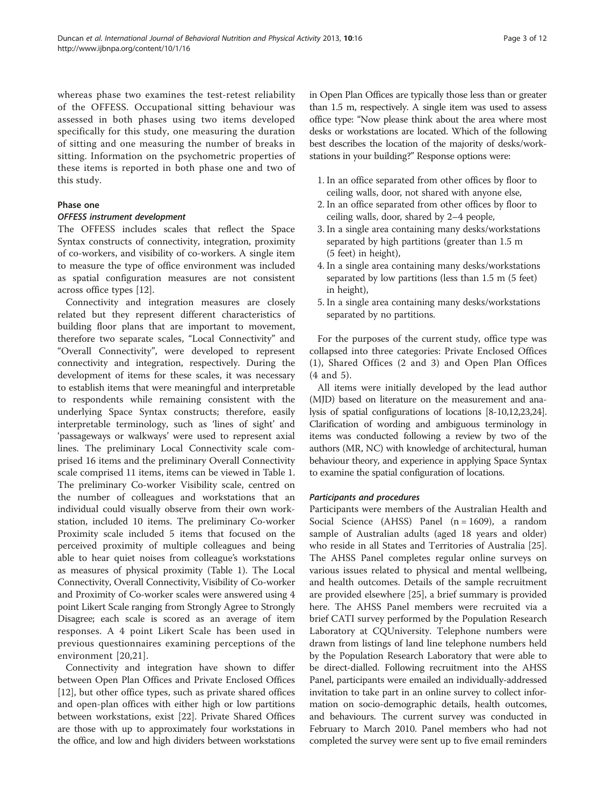whereas phase two examines the test-retest reliability of the OFFESS. Occupational sitting behaviour was assessed in both phases using two items developed specifically for this study, one measuring the duration of sitting and one measuring the number of breaks in sitting. Information on the psychometric properties of these items is reported in both phase one and two of this study.

# Phase one

#### OFFESS instrument development

The OFFESS includes scales that reflect the Space Syntax constructs of connectivity, integration, proximity of co-workers, and visibility of co-workers. A single item to measure the type of office environment was included as spatial configuration measures are not consistent across office types [[12\]](#page-10-0).

Connectivity and integration measures are closely related but they represent different characteristics of building floor plans that are important to movement, therefore two separate scales, "Local Connectivity" and "Overall Connectivity", were developed to represent connectivity and integration, respectively. During the development of items for these scales, it was necessary to establish items that were meaningful and interpretable to respondents while remaining consistent with the underlying Space Syntax constructs; therefore, easily interpretable terminology, such as 'lines of sight' and 'passageways or walkways' were used to represent axial lines. The preliminary Local Connectivity scale comprised 16 items and the preliminary Overall Connectivity scale comprised 11 items, items can be viewed in Table [1](#page-3-0). The preliminary Co-worker Visibility scale, centred on the number of colleagues and workstations that an individual could visually observe from their own workstation, included 10 items. The preliminary Co-worker Proximity scale included 5 items that focused on the perceived proximity of multiple colleagues and being able to hear quiet noises from colleague's workstations as measures of physical proximity (Table [1\)](#page-3-0). The Local Connectivity, Overall Connectivity, Visibility of Co-worker and Proximity of Co-worker scales were answered using 4 point Likert Scale ranging from Strongly Agree to Strongly Disagree; each scale is scored as an average of item responses. A 4 point Likert Scale has been used in previous questionnaires examining perceptions of the environment [[20,21\]](#page-10-0).

Connectivity and integration have shown to differ between Open Plan Offices and Private Enclosed Offices [[12\]](#page-10-0), but other office types, such as private shared offices and open-plan offices with either high or low partitions between workstations, exist [[22\]](#page-10-0). Private Shared Offices are those with up to approximately four workstations in the office, and low and high dividers between workstations in Open Plan Offices are typically those less than or greater than 1.5 m, respectively. A single item was used to assess office type: "Now please think about the area where most desks or workstations are located. Which of the following best describes the location of the majority of desks/workstations in your building?" Response options were:

- 1. In an office separated from other offices by floor to ceiling walls, door, not shared with anyone else,
- 2. In an office separated from other offices by floor to ceiling walls, door, shared by 2–4 people,
- 3. In a single area containing many desks/workstations separated by high partitions (greater than 1.5 m (5 feet) in height),
- 4. In a single area containing many desks/workstations separated by low partitions (less than 1.5 m (5 feet) in height),
- 5. In a single area containing many desks/workstations separated by no partitions.

For the purposes of the current study, office type was collapsed into three categories: Private Enclosed Offices (1), Shared Offices (2 and 3) and Open Plan Offices (4 and 5).

All items were initially developed by the lead author (MJD) based on literature on the measurement and analysis of spatial configurations of locations [\[8-10,12,23,24](#page-10-0)]. Clarification of wording and ambiguous terminology in items was conducted following a review by two of the authors (MR, NC) with knowledge of architectural, human behaviour theory, and experience in applying Space Syntax to examine the spatial configuration of locations.

#### Participants and procedures

Participants were members of the Australian Health and Social Science (AHSS) Panel (n = 1609), a random sample of Australian adults (aged 18 years and older) who reside in all States and Territories of Australia [\[25](#page-10-0)]. The AHSS Panel completes regular online surveys on various issues related to physical and mental wellbeing, and health outcomes. Details of the sample recruitment are provided elsewhere [\[25\]](#page-10-0), a brief summary is provided here. The AHSS Panel members were recruited via a brief CATI survey performed by the Population Research Laboratory at CQUniversity. Telephone numbers were drawn from listings of land line telephone numbers held by the Population Research Laboratory that were able to be direct-dialled. Following recruitment into the AHSS Panel, participants were emailed an individually-addressed invitation to take part in an online survey to collect information on socio-demographic details, health outcomes, and behaviours. The current survey was conducted in February to March 2010. Panel members who had not completed the survey were sent up to five email reminders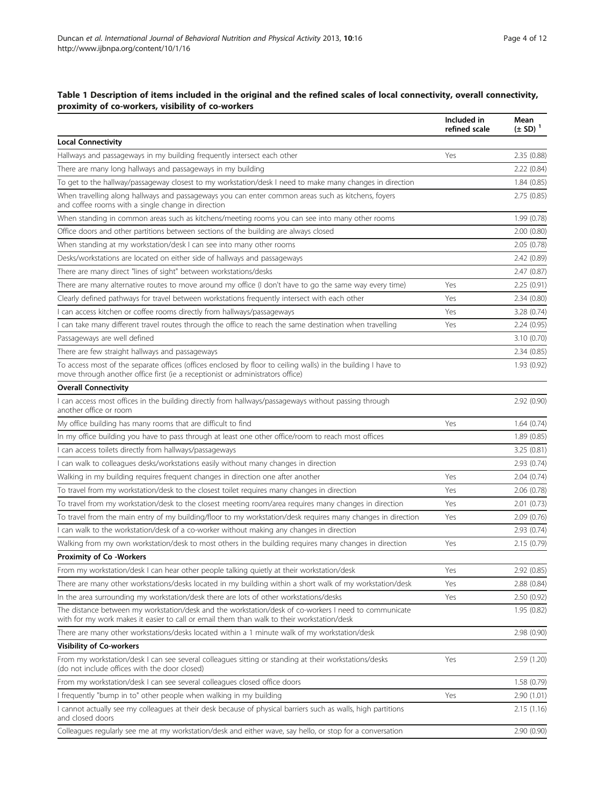# <span id="page-3-0"></span>Table 1 Description of items included in the original and the refined scales of local connectivity, overall connectivity, proximity of co-workers, visibility of co-workers

|                                                                                                                                                                                                     | Included in<br>refined scale | Mean<br>$(\pm$ SD) <sup>1</sup> |
|-----------------------------------------------------------------------------------------------------------------------------------------------------------------------------------------------------|------------------------------|---------------------------------|
| <b>Local Connectivity</b>                                                                                                                                                                           |                              |                                 |
| Hallways and passageways in my building frequently intersect each other                                                                                                                             | Yes                          | 2.35(0.88)                      |
| There are many long hallways and passageways in my building                                                                                                                                         |                              | 2.22(0.84)                      |
| To get to the hallway/passageway closest to my workstation/desk I need to make many changes in direction                                                                                            |                              | 1.84(0.85)                      |
| When travelling along hallways and passageways you can enter common areas such as kitchens, foyers<br>and coffee rooms with a single change in direction                                            |                              | 2.75(0.85)                      |
| When standing in common areas such as kitchens/meeting rooms you can see into many other rooms                                                                                                      |                              | 1.99 (0.78)                     |
| Office doors and other partitions between sections of the building are always closed                                                                                                                |                              | 2.00(0.80)                      |
| When standing at my workstation/desk I can see into many other rooms                                                                                                                                |                              | 2.05(0.78)                      |
| Desks/workstations are located on either side of hallways and passageways                                                                                                                           |                              | 2.42(0.89)                      |
| There are many direct "lines of sight" between workstations/desks                                                                                                                                   |                              | 2.47(0.87)                      |
| There are many alternative routes to move around my office (I don't have to go the same way every time)                                                                                             | Yes                          | 2.25(0.91)                      |
| Clearly defined pathways for travel between workstations frequently intersect with each other                                                                                                       | Yes                          | 2.34(0.80)                      |
| I can access kitchen or coffee rooms directly from hallways/passageways                                                                                                                             | Yes                          | 3.28(0.74)                      |
| I can take many different travel routes through the office to reach the same destination when travelling                                                                                            | Yes                          | 2.24(0.95)                      |
| Passageways are well defined                                                                                                                                                                        |                              | 3.10(0.70)                      |
| There are few straight hallways and passageways                                                                                                                                                     |                              | 2.34(0.85)                      |
| To access most of the separate offices (offices enclosed by floor to ceiling walls) in the building I have to<br>move through another office first (ie a receptionist or administrators office)     |                              | 1.93(0.92)                      |
| <b>Overall Connectivity</b>                                                                                                                                                                         |                              |                                 |
| I can access most offices in the building directly from hallways/passageways without passing through<br>another office or room                                                                      |                              | 2.92(0.90)                      |
| My office building has many rooms that are difficult to find                                                                                                                                        | Yes                          | 1.64(0.74)                      |
| In my office building you have to pass through at least one other office/room to reach most offices                                                                                                 |                              | 1.89(0.85)                      |
| I can access toilets directly from hallways/passageways                                                                                                                                             |                              | 3.25(0.81)                      |
| I can walk to colleagues desks/workstations easily without many changes in direction                                                                                                                |                              | 2.93(0.74)                      |
| Walking in my building requires frequent changes in direction one after another                                                                                                                     | Yes                          | 2.04(0.74)                      |
| To travel from my workstation/desk to the closest toilet requires many changes in direction                                                                                                         | Yes                          | 2.06(0.78)                      |
| To travel from my workstation/desk to the closest meeting room/area requires many changes in direction                                                                                              | Yes                          | 2.01(0.73)                      |
| To travel from the main entry of my building/floor to my workstation/desk requires many changes in direction                                                                                        | Yes                          | 2.09(0.76)                      |
| I can walk to the workstation/desk of a co-worker without making any changes in direction                                                                                                           |                              | 2.93(0.74)                      |
| Walking from my own workstation/desk to most others in the building requires many changes in direction                                                                                              | Yes                          | 2.15(0.79)                      |
| <b>Proximity of Co-Workers</b>                                                                                                                                                                      |                              |                                 |
| From my workstation/desk I can hear other people talking quietly at their workstation/desk                                                                                                          | Yes                          | 2.92 (0.85)                     |
| There are many other workstations/desks located in my building within a short walk of my workstation/desk                                                                                           | Yes                          | 2.88(0.84)                      |
| In the area surrounding my workstation/desk there are lots of other workstations/desks                                                                                                              | Yes                          | 2.50(0.92)                      |
| The distance between my workstation/desk and the workstation/desk of co-workers I need to communicate<br>with for my work makes it easier to call or email them than walk to their workstation/desk |                              | 1.95(0.82)                      |
| There are many other workstations/desks located within a 1 minute walk of my workstation/desk                                                                                                       |                              | 2.98 (0.90)                     |
| <b>Visibility of Co-workers</b>                                                                                                                                                                     |                              |                                 |
| From my workstation/desk I can see several colleagues sitting or standing at their workstations/desks<br>(do not include offices with the door closed)                                              | Yes                          | 2.59 (1.20)                     |
| From my workstation/desk I can see several colleagues closed office doors                                                                                                                           |                              | 1.58(0.79)                      |
| I frequently "bump in to" other people when walking in my building                                                                                                                                  | Yes                          | 2.90(1.01)                      |
| I cannot actually see my colleagues at their desk because of physical barriers such as walls, high partitions<br>and closed doors                                                                   |                              | 2.15(1.16)                      |
| Colleagues regularly see me at my workstation/desk and either wave, say hello, or stop for a conversation                                                                                           |                              | 2.90 (0.90)                     |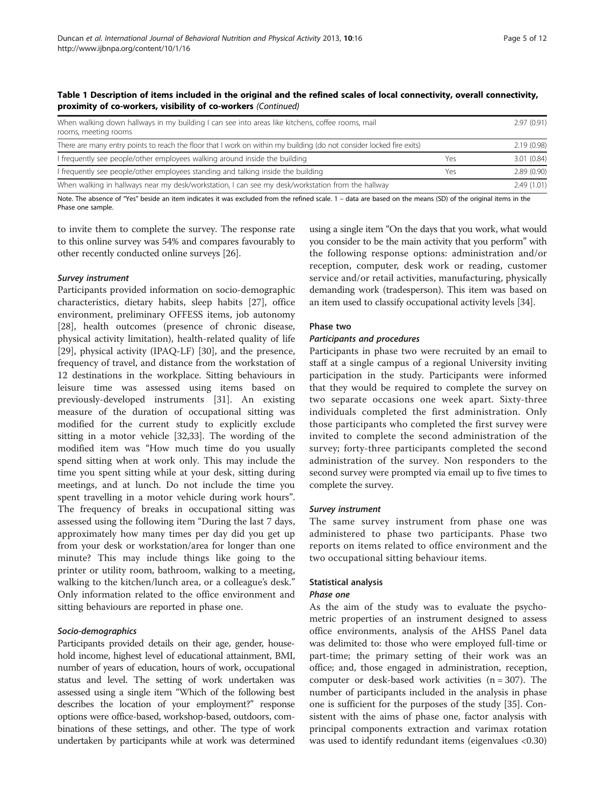Table 1 Description of items included in the original and the refined scales of local connectivity, overall connectivity, proximity of co-workers, visibility of co-workers (Continued)

| When walking down hallways in my building I can see into areas like kitchens, coffee rooms, mail<br>rooms, meeting rooms |  |  |  |  |
|--------------------------------------------------------------------------------------------------------------------------|--|--|--|--|
| There are many entry points to reach the floor that I work on within my building (do not consider locked fire exits)     |  |  |  |  |
| I frequently see people/other employees walking around inside the building<br>Yes                                        |  |  |  |  |
| I frequently see people/other employees standing and talking inside the building<br>Yes                                  |  |  |  |  |
| When walking in hallways near my desk/workstation, I can see my desk/workstation from the hallway                        |  |  |  |  |

Note. The absence of "Yes" beside an item indicates it was excluded from the refined scale. 1 - data are based on the means (SD) of the original items in the Phase one sample.

to invite them to complete the survey. The response rate to this online survey was 54% and compares favourably to other recently conducted online surveys [\[26\]](#page-10-0).

#### Survey instrument

Participants provided information on socio-demographic characteristics, dietary habits, sleep habits [[27](#page-10-0)], office environment, preliminary OFFESS items, job autonomy [[28\]](#page-10-0), health outcomes (presence of chronic disease, physical activity limitation), health-related quality of life [[29\]](#page-10-0), physical activity (IPAQ-LF) [\[30](#page-10-0)], and the presence, frequency of travel, and distance from the workstation of 12 destinations in the workplace. Sitting behaviours in leisure time was assessed using items based on previously-developed instruments [\[31](#page-10-0)]. An existing measure of the duration of occupational sitting was modified for the current study to explicitly exclude sitting in a motor vehicle [\[32,33](#page-11-0)]. The wording of the modified item was "How much time do you usually spend sitting when at work only. This may include the time you spent sitting while at your desk, sitting during meetings, and at lunch. Do not include the time you spent travelling in a motor vehicle during work hours". The frequency of breaks in occupational sitting was assessed using the following item "During the last 7 days, approximately how many times per day did you get up from your desk or workstation/area for longer than one minute? This may include things like going to the printer or utility room, bathroom, walking to a meeting, walking to the kitchen/lunch area, or a colleague's desk." Only information related to the office environment and sitting behaviours are reported in phase one.

#### Socio-demographics

Participants provided details on their age, gender, household income, highest level of educational attainment, BMI, number of years of education, hours of work, occupational status and level. The setting of work undertaken was assessed using a single item "Which of the following best describes the location of your employment?" response options were office-based, workshop-based, outdoors, combinations of these settings, and other. The type of work undertaken by participants while at work was determined

using a single item "On the days that you work, what would you consider to be the main activity that you perform" with the following response options: administration and/or reception, computer, desk work or reading, customer service and/or retail activities, manufacturing, physically demanding work (tradesperson). This item was based on an item used to classify occupational activity levels [\[34\]](#page-11-0).

#### Phase two

#### Participants and procedures

Participants in phase two were recruited by an email to staff at a single campus of a regional University inviting participation in the study. Participants were informed that they would be required to complete the survey on two separate occasions one week apart. Sixty-three individuals completed the first administration. Only those participants who completed the first survey were invited to complete the second administration of the survey; forty-three participants completed the second administration of the survey. Non responders to the second survey were prompted via email up to five times to complete the survey.

#### Survey instrument

The same survey instrument from phase one was administered to phase two participants. Phase two reports on items related to office environment and the two occupational sitting behaviour items.

#### Statistical analysis

## Phase one

As the aim of the study was to evaluate the psychometric properties of an instrument designed to assess office environments, analysis of the AHSS Panel data was delimited to: those who were employed full-time or part-time; the primary setting of their work was an office; and, those engaged in administration, reception, computer or desk-based work activities  $(n = 307)$ . The number of participants included in the analysis in phase one is sufficient for the purposes of the study [\[35](#page-11-0)]. Consistent with the aims of phase one, factor analysis with principal components extraction and varimax rotation was used to identify redundant items (eigenvalues <0.30)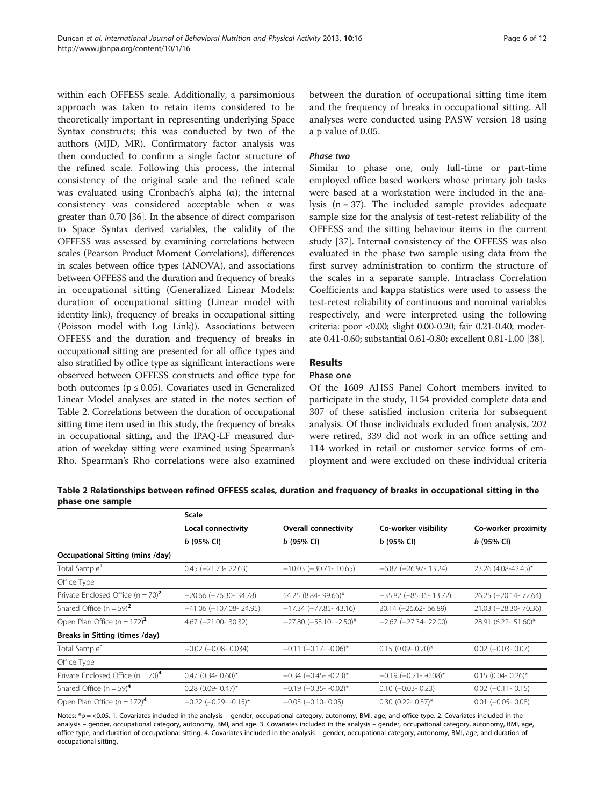<span id="page-5-0"></span>within each OFFESS scale. Additionally, a parsimonious approach was taken to retain items considered to be theoretically important in representing underlying Space Syntax constructs; this was conducted by two of the authors (MJD, MR). Confirmatory factor analysis was then conducted to confirm a single factor structure of the refined scale. Following this process, the internal consistency of the original scale and the refined scale was evaluated using Cronbach's alpha  $(\alpha)$ ; the internal consistency was considered acceptable when α was greater than 0.70 [\[36](#page-11-0)]. In the absence of direct comparison to Space Syntax derived variables, the validity of the OFFESS was assessed by examining correlations between scales (Pearson Product Moment Correlations), differences in scales between office types (ANOVA), and associations between OFFESS and the duration and frequency of breaks in occupational sitting (Generalized Linear Models: duration of occupational sitting (Linear model with identity link), frequency of breaks in occupational sitting (Poisson model with Log Link)). Associations between OFFESS and the duration and frequency of breaks in occupational sitting are presented for all office types and also stratified by office type as significant interactions were observed between OFFESS constructs and office type for both outcomes ( $p \le 0.05$ ). Covariates used in Generalized Linear Model analyses are stated in the notes section of Table 2. Correlations between the duration of occupational sitting time item used in this study, the frequency of breaks in occupational sitting, and the IPAQ-LF measured duration of weekday sitting were examined using Spearman's Rho. Spearman's Rho correlations were also examined

between the duration of occupational sitting time item and the frequency of breaks in occupational sitting. All analyses were conducted using PASW version 18 using a p value of 0.05.

#### Phase two

Similar to phase one, only full-time or part-time employed office based workers whose primary job tasks were based at a workstation were included in the analysis  $(n = 37)$ . The included sample provides adequate sample size for the analysis of test-retest reliability of the OFFESS and the sitting behaviour items in the current study [\[37](#page-11-0)]. Internal consistency of the OFFESS was also evaluated in the phase two sample using data from the first survey administration to confirm the structure of the scales in a separate sample. Intraclass Correlation Coefficients and kappa statistics were used to assess the test-retest reliability of continuous and nominal variables respectively, and were interpreted using the following criteria: poor <0.00; slight 0.00-0.20; fair 0.21-0.40; moderate 0.41-0.60; substantial 0.61-0.80; excellent 0.81-1.00 [[38](#page-11-0)].

### Results

#### Phase one

Of the 1609 AHSS Panel Cohort members invited to participate in the study, 1154 provided complete data and 307 of these satisfied inclusion criteria for subsequent analysis. Of those individuals excluded from analysis, 202 were retired, 339 did not work in an office setting and 114 worked in retail or customer service forms of employment and were excluded on these individual criteria

Table 2 Relationships between refined OFFESS scales, duration and frequency of breaks in occupational sitting in the phase one sample

|                                                   | <b>Scale</b>                   |                                  |                               |                           |  |
|---------------------------------------------------|--------------------------------|----------------------------------|-------------------------------|---------------------------|--|
|                                                   | Local connectivity             | <b>Overall connectivity</b>      | Co-worker visibility          | Co-worker proximity       |  |
|                                                   | $b$ (95% CI)                   | $b$ (95% CI)                     | $b$ (95% CI)                  | $b$ (95% CI)              |  |
| Occupational Sitting (mins /day)                  |                                |                                  |                               |                           |  |
| Total Sample <sup>1</sup>                         | $0.45$ ( $-21.73 - 22.63$ )    | $-10.03$ ( $-30.71 - 10.65$ )    | $-6.87$ ( $-26.97 - 13.24$ )  | 23.26 (4.08-42.45)*       |  |
| Office Type                                       |                                |                                  |                               |                           |  |
| Private Enclosed Office $(n = 70)^2$              | $-20.66$ ( $-76.30$ - 34.78)   | 54.25 (8.84- 99.66)*             | $-35.82$ ( $-85.36 - 13.72$ ) | 26.25 (-20.14-72.64)      |  |
| Shared Office $(n = 59)^2$                        | $-41.06$ ( $-107.08$ - 24.95)  | $-17.34$ ( $-77.85 - 43.16$ )    | 20.14 (-26.62-66.89)          | 21.03 (-28.30-70.36)      |  |
| Open Plan Office $(n = 172)^2$                    | $4.67$ ( $-21.00$ - 30.32)     | $-27.80$ ( $-53.10$ - $-2.50$ )* | $-2.67$ ( $-27.34$ - 22.00)   | 28.91 (6.22- 51.60)*      |  |
| Breaks in Sitting (times /day)                    |                                |                                  |                               |                           |  |
| Total Sample <sup>3</sup>                         | $-0.02$ ( $-0.08$ - 0.034)     | $-0.11$ $(-0.17 - -0.06)^*$      | $0.15$ (0.09- 0.20)*          | $0.02$ (-0.03- 0.07)      |  |
| Office Type                                       |                                |                                  |                               |                           |  |
| Private Enclosed Office ( $n = 70$ ) <sup>4</sup> | $0.47$ (0.34- 0.60)*           | $-0.34$ ( $-0.45$ - $-0.23$ )*   | $-0.19$ $(-0.21 - -0.08)$ *   | $0.15$ (0.04- 0.26)*      |  |
| Shared Office $(n = 59)^4$                        | $0.28$ (0.09- 0.47)*           | $-0.19$ $(-0.35 - 0.02)$ *       | $0.10$ ( $-0.03 - 0.23$ )     | $0.02$ (-0.11 - 0.15)     |  |
| Open Plan Office (n = $172$ ) <sup>4</sup>        | $-0.22$ ( $-0.29$ - $-0.15$ )* | $-0.03$ $(-0.10 - 0.05)$         | $0.30$ (0.22- 0.37)*          | $0.01$ ( $-0.05 - 0.08$ ) |  |

Notes: \*p = <0.05. 1. Covariates included in the analysis – gender, occupational category, autonomy, BMI, age, and office type. 2. Covariates included in the analysis – gender, occupational category, autonomy, BMI, and age. 3. Covariates included in the analysis – gender, occupational category, autonomy, BMI, age, office type, and duration of occupational sitting. 4. Covariates included in the analysis – gender, occupational category, autonomy, BMI, age, and duration of occupational sitting.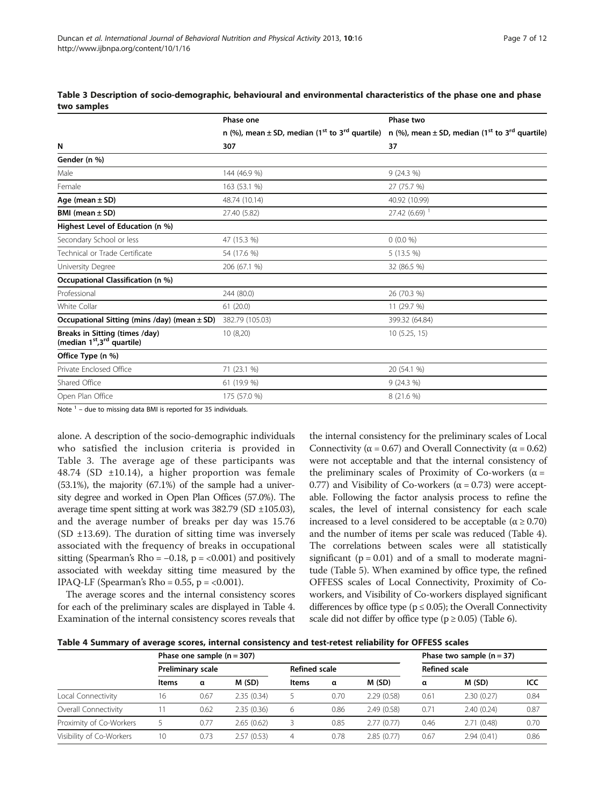| n (%), mean $\pm$ SD, median (1 <sup>st</sup> to 3 <sup>rd</sup> quartile)                       | n (%), mean $\pm$ SD, median (1 <sup>st</sup> to 3 <sup>rd</sup> quartile) |
|--------------------------------------------------------------------------------------------------|----------------------------------------------------------------------------|
| N<br>307                                                                                         | 37                                                                         |
| Gender (n %)                                                                                     |                                                                            |
| Male<br>144 (46.9 %)                                                                             | 9(24.3%)                                                                   |
| Female<br>163 (53.1 %)                                                                           | 27 (75.7 %)                                                                |
| Age (mean $\pm$ SD)<br>48.74 (10.14)                                                             | 40.92 (10.99)                                                              |
| BMI (mean $\pm$ SD)<br>27.40 (5.82)                                                              | $27.42(6.69)^{-1}$                                                         |
| Highest Level of Education (n %)                                                                 |                                                                            |
| Secondary School or less<br>47 (15.3 %)                                                          | $0(0.0\%)$                                                                 |
| Technical or Trade Certificate<br>54 (17.6 %)                                                    | $5(13.5\%)$                                                                |
| University Degree<br>206 (67.1 %)                                                                | 32 (86.5 %)                                                                |
| Occupational Classification (n %)                                                                |                                                                            |
| Professional<br>244 (80.0)                                                                       | 26 (70.3 %)                                                                |
| White Collar<br>61(20.0)                                                                         | 11 (29.7 %)                                                                |
| Occupational Sitting (mins /day) (mean $\pm$ SD)<br>382.79 (105.03)                              | 399.32 (64.84)                                                             |
| Breaks in Sitting (times /day)<br>10(8,20)<br>(median 1 <sup>st</sup> ,3 <sup>rd</sup> quartile) | 10(5.25, 15)                                                               |
| Office Type (n %)                                                                                |                                                                            |
| Private Enclosed Office<br>71 (23.1 %)                                                           | 20 (54.1 %)                                                                |
| Shared Office<br>61 (19.9 %)                                                                     | 9(24.3%)                                                                   |
| Open Plan Office<br>175 (57.0 %)                                                                 | 8 (21.6 %)                                                                 |

<span id="page-6-0"></span>Table 3 Description of socio-demographic, behavioural and environmental characteristics of the phase one and phase two samples

Note  $1 -$  due to missing data BMI is reported for 35 individuals.

alone. A description of the socio-demographic individuals who satisfied the inclusion criteria is provided in Table 3. The average age of these participants was 48.74 (SD ±10.14), a higher proportion was female (53.1%), the majority (67.1%) of the sample had a university degree and worked in Open Plan Offices (57.0%). The average time spent sitting at work was 382.79 (SD ±105.03), and the average number of breaks per day was 15.76 (SD  $\pm$ 13.69). The duration of sitting time was inversely associated with the frequency of breaks in occupational sitting (Spearman's Rho =  $-0.18$ , p = <0.001) and positively associated with weekday sitting time measured by the IPAQ-LF (Spearman's Rho =  $0.55$ , p = <0.001).

The average scores and the internal consistency scores for each of the preliminary scales are displayed in Table 4. Examination of the internal consistency scores reveals that

the internal consistency for the preliminary scales of Local Connectivity ( $\alpha$  = 0.67) and Overall Connectivity ( $\alpha$  = 0.62) were not acceptable and that the internal consistency of the preliminary scales of Proximity of Co-workers ( $\alpha$  = 0.77) and Visibility of Co-workers ( $\alpha$  = 0.73) were acceptable. Following the factor analysis process to refine the scales, the level of internal consistency for each scale increased to a level considered to be acceptable ( $\alpha \ge 0.70$ ) and the number of items per scale was reduced (Table 4). The correlations between scales were all statistically significant ( $p = 0.01$ ) and of a small to moderate magnitude (Table [5](#page-7-0)). When examined by office type, the refined OFFESS scales of Local Connectivity, Proximity of Coworkers, and Visibility of Co-workers displayed significant differences by office type ( $p \le 0.05$ ); the Overall Connectivity scale did not differ by office type ( $p \ge 0.05$ ) (Table [6\)](#page-7-0).

|  | Table 4 Summary of average scores, internal consistency and test-retest reliability for OFFESS scales |  |  |
|--|-------------------------------------------------------------------------------------------------------|--|--|
|  |                                                                                                       |  |  |

|                          | Phase one sample $(n = 307)$ |      |                      |              | Phase two sample $(n = 37)$ |            |      |            |      |
|--------------------------|------------------------------|------|----------------------|--------------|-----------------------------|------------|------|------------|------|
|                          | <b>Preliminary scale</b>     |      | <b>Refined scale</b> |              | Refined scale               |            |      |            |      |
|                          | Items                        | α    | M (SD)               | <b>Items</b> | α                           | M (SD)     | α    | M (SD)     | ICC  |
| Local Connectivity       | 16                           | 0.67 | 2.35(0.34)           |              | 0.70                        | 2.29(0.58) | 0.61 | 2.30(0.27) | 0.84 |
| Overall Connectivity     |                              | 0.62 | 2.35(0.36)           | 6            | 0.86                        | 2.49(0.58) | 0.71 | 2.40(0.24) | 0.87 |
| Proximity of Co-Workers  |                              | 0.77 | 2.65(0.62)           |              | 0.85                        | 2.77(0.77) | 0.46 | 2.71(0.48) | 0.70 |
| Visibility of Co-Workers | 10                           | 0.73 | 2.57(0.53)           | 4            | 0.78                        | 2.85(0.77) | 0.67 | 2.94(0.41) | 0.86 |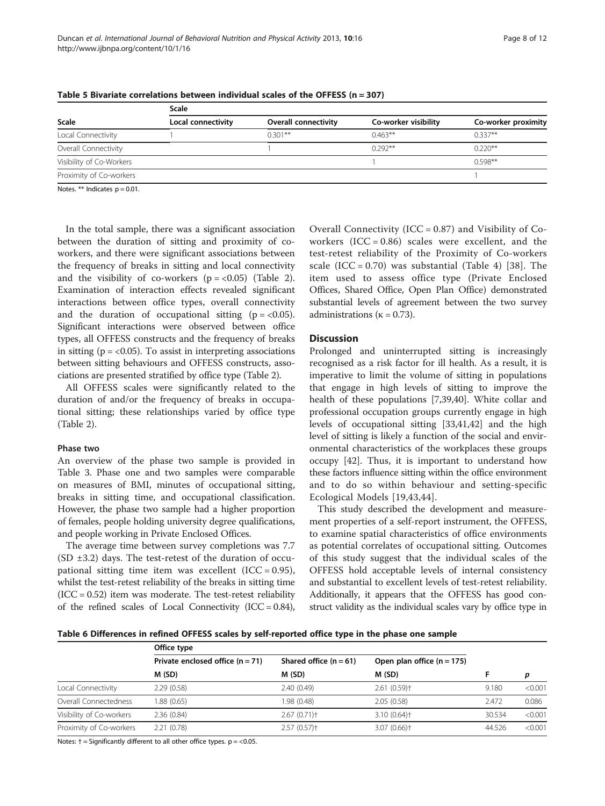|                          | Scale              |                             |                      |                     |  |  |
|--------------------------|--------------------|-----------------------------|----------------------|---------------------|--|--|
| Scale                    | Local connectivity | <b>Overall connectivity</b> | Co-worker visibility | Co-worker proximity |  |  |
| Local Connectivity       |                    | $0.301**$                   | $0.463**$            | $0.337**$           |  |  |
| Overall Connectivity     |                    |                             | $0.292**$            | $0.220**$           |  |  |
| Visibility of Co-Workers |                    |                             |                      | $0.598**$           |  |  |
| Proximity of Co-workers  |                    |                             |                      |                     |  |  |
|                          |                    |                             |                      |                     |  |  |

<span id="page-7-0"></span>Table 5 Bivariate correlations between individual scales of the OFFESS ( $n = 307$ )

Notes.  $**$  Indicates  $p = 0.01$ .

In the total sample, there was a significant association between the duration of sitting and proximity of coworkers, and there were significant associations between the frequency of breaks in sitting and local connectivity and the visibility of co-workers  $(p = <0.05)$  (Table [2](#page-5-0)). Examination of interaction effects revealed significant interactions between office types, overall connectivity and the duration of occupational sitting  $(p = <0.05)$ . Significant interactions were observed between office types, all OFFESS constructs and the frequency of breaks in sitting ( $p = < 0.05$ ). To assist in interpreting associations between sitting behaviours and OFFESS constructs, associations are presented stratified by office type (Table [2](#page-5-0)).

All OFFESS scales were significantly related to the duration of and/or the frequency of breaks in occupational sitting; these relationships varied by office type (Table [2\)](#page-5-0).

#### Phase two

An overview of the phase two sample is provided in Table [3](#page-6-0). Phase one and two samples were comparable on measures of BMI, minutes of occupational sitting, breaks in sitting time, and occupational classification. However, the phase two sample had a higher proportion of females, people holding university degree qualifications, and people working in Private Enclosed Offices.

The average time between survey completions was 7.7  $(SD \pm 3.2)$  days. The test-retest of the duration of occupational sitting time item was excellent  $(ICC = 0.95)$ , whilst the test-retest reliability of the breaks in sitting time  $(ICC = 0.52)$  item was moderate. The test-retest reliability of the refined scales of Local Connectivity  $(ICC = 0.84)$ ,

Overall Connectivity (ICC = 0.87) and Visibility of Coworkers  $(ICC = 0.86)$  scales were excellent, and the test-retest reliability of the Proximity of Co-workers scale  $(ICC = 0.70)$  was substantial (Table [4](#page-6-0)) [[38](#page-11-0)]. The item used to assess office type (Private Enclosed Offices, Shared Office, Open Plan Office) demonstrated substantial levels of agreement between the two survey administrations ( $\kappa = 0.73$ ).

# **Discussion**

Prolonged and uninterrupted sitting is increasingly recognised as a risk factor for ill health. As a result, it is imperative to limit the volume of sitting in populations that engage in high levels of sitting to improve the health of these populations [[7,](#page-10-0)[39,40\]](#page-11-0). White collar and professional occupation groups currently engage in high levels of occupational sitting [[33](#page-11-0),[41](#page-11-0),[42](#page-11-0)] and the high level of sitting is likely a function of the social and environmental characteristics of the workplaces these groups occupy [[42](#page-11-0)]. Thus, it is important to understand how these factors influence sitting within the office environment and to do so within behaviour and setting-specific Ecological Models [\[19,](#page-10-0)[43](#page-11-0),[44\]](#page-11-0).

This study described the development and measurement properties of a self-report instrument, the OFFESS, to examine spatial characteristics of office environments as potential correlates of occupational sitting. Outcomes of this study suggest that the individual scales of the OFFESS hold acceptable levels of internal consistency and substantial to excellent levels of test-retest reliability. Additionally, it appears that the OFFESS has good construct validity as the individual scales vary by office type in

Table 6 Differences in refined OFFESS scales by self-reported office type in the phase one sample

|                          | Office type                        |                           |                              |        |         |
|--------------------------|------------------------------------|---------------------------|------------------------------|--------|---------|
|                          | Private enclosed office $(n = 71)$ | Shared office $(n = 61)$  | Open plan office $(n = 175)$ |        |         |
|                          | M (SD)                             | M (SD)                    | M (SD)                       |        | p       |
| Local Connectivity       | 2.29(0.58)                         | 2.40(0.49)                | $2.61(0.59)$ <sup>+</sup>    | 9.180  | < 0.001 |
| Overall Connectedness    | 1.88(0.65)                         | 1.98 (0.48)               | 2.05(0.58)                   | 2.472  | 0.086   |
| Visibility of Co-workers | 2.36(0.84)                         | $2.67(0.71)$ <sup>+</sup> | $3.10(0.64)$ <sup>+</sup>    | 30.534 | < 0.001 |
| Proximity of Co-workers  | 2.21(0.78)                         | $2.57(0.57)$ <sup>+</sup> | $3.07(0.66)$ <sup>+</sup>    | 44.526 | < 0.001 |

Notes:  $\dagger$  = Significantly different to all other office types.  $p = <0.05$ .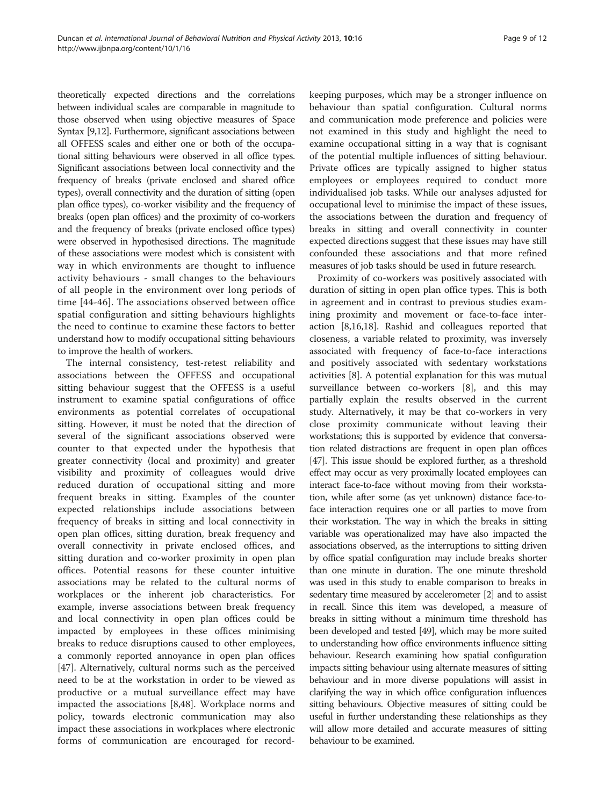theoretically expected directions and the correlations between individual scales are comparable in magnitude to those observed when using objective measures of Space Syntax [\[9,12\]](#page-10-0). Furthermore, significant associations between all OFFESS scales and either one or both of the occupational sitting behaviours were observed in all office types. Significant associations between local connectivity and the frequency of breaks (private enclosed and shared office types), overall connectivity and the duration of sitting (open plan office types), co-worker visibility and the frequency of breaks (open plan offices) and the proximity of co-workers and the frequency of breaks (private enclosed office types) were observed in hypothesised directions. The magnitude of these associations were modest which is consistent with way in which environments are thought to influence activity behaviours - small changes to the behaviours of all people in the environment over long periods of time [[44](#page-11-0)-[46](#page-11-0)]. The associations observed between office spatial configuration and sitting behaviours highlights the need to continue to examine these factors to better understand how to modify occupational sitting behaviours to improve the health of workers.

The internal consistency, test-retest reliability and associations between the OFFESS and occupational sitting behaviour suggest that the OFFESS is a useful instrument to examine spatial configurations of office environments as potential correlates of occupational sitting. However, it must be noted that the direction of several of the significant associations observed were counter to that expected under the hypothesis that greater connectivity (local and proximity) and greater visibility and proximity of colleagues would drive reduced duration of occupational sitting and more frequent breaks in sitting. Examples of the counter expected relationships include associations between frequency of breaks in sitting and local connectivity in open plan offices, sitting duration, break frequency and overall connectivity in private enclosed offices, and sitting duration and co-worker proximity in open plan offices. Potential reasons for these counter intuitive associations may be related to the cultural norms of workplaces or the inherent job characteristics. For example, inverse associations between break frequency and local connectivity in open plan offices could be impacted by employees in these offices minimising breaks to reduce disruptions caused to other employees, a commonly reported annoyance in open plan offices [[47\]](#page-11-0). Alternatively, cultural norms such as the perceived need to be at the workstation in order to be viewed as productive or a mutual surveillance effect may have impacted the associations [[8,](#page-10-0)[48\]](#page-11-0). Workplace norms and policy, towards electronic communication may also impact these associations in workplaces where electronic forms of communication are encouraged for record-

keeping purposes, which may be a stronger influence on behaviour than spatial configuration. Cultural norms and communication mode preference and policies were not examined in this study and highlight the need to examine occupational sitting in a way that is cognisant of the potential multiple influences of sitting behaviour. Private offices are typically assigned to higher status employees or employees required to conduct more individualised job tasks. While our analyses adjusted for occupational level to minimise the impact of these issues, the associations between the duration and frequency of breaks in sitting and overall connectivity in counter expected directions suggest that these issues may have still confounded these associations and that more refined measures of job tasks should be used in future research.

Proximity of co-workers was positively associated with duration of sitting in open plan office types. This is both in agreement and in contrast to previous studies examining proximity and movement or face-to-face interaction [\[8,16,18\]](#page-10-0). Rashid and colleagues reported that closeness, a variable related to proximity, was inversely associated with frequency of face-to-face interactions and positively associated with sedentary workstations activities [\[8](#page-10-0)]. A potential explanation for this was mutual surveillance between co-workers [\[8](#page-10-0)], and this may partially explain the results observed in the current study. Alternatively, it may be that co-workers in very close proximity communicate without leaving their workstations; this is supported by evidence that conversation related distractions are frequent in open plan offices [[47](#page-11-0)]. This issue should be explored further, as a threshold effect may occur as very proximally located employees can interact face-to-face without moving from their workstation, while after some (as yet unknown) distance face-toface interaction requires one or all parties to move from their workstation. The way in which the breaks in sitting variable was operationalized may have also impacted the associations observed, as the interruptions to sitting driven by office spatial configuration may include breaks shorter than one minute in duration. The one minute threshold was used in this study to enable comparison to breaks in sedentary time measured by accelerometer [\[2\]](#page-10-0) and to assist in recall. Since this item was developed, a measure of breaks in sitting without a minimum time threshold has been developed and tested [[49\]](#page-11-0), which may be more suited to understanding how office environments influence sitting behaviour. Research examining how spatial configuration impacts sitting behaviour using alternate measures of sitting behaviour and in more diverse populations will assist in clarifying the way in which office configuration influences sitting behaviours. Objective measures of sitting could be useful in further understanding these relationships as they will allow more detailed and accurate measures of sitting behaviour to be examined.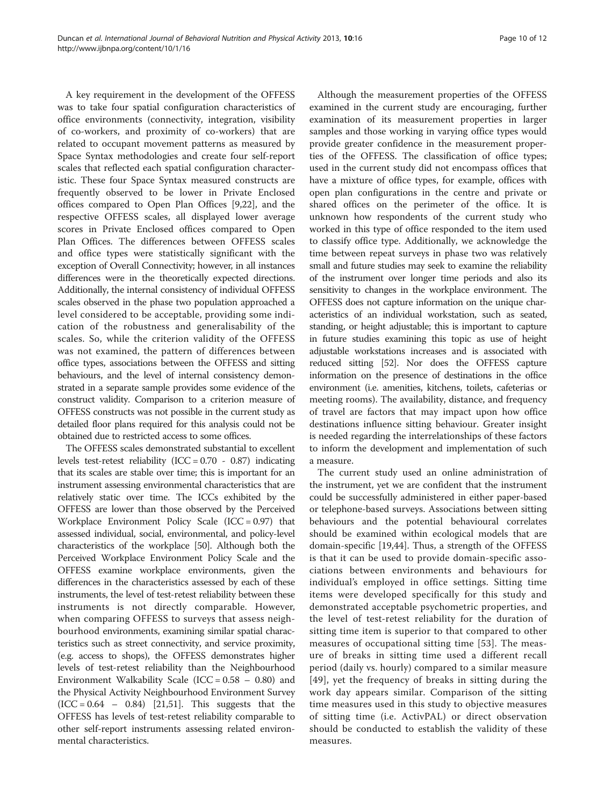A key requirement in the development of the OFFESS was to take four spatial configuration characteristics of office environments (connectivity, integration, visibility of co-workers, and proximity of co-workers) that are related to occupant movement patterns as measured by Space Syntax methodologies and create four self-report scales that reflected each spatial configuration characteristic. These four Space Syntax measured constructs are frequently observed to be lower in Private Enclosed offices compared to Open Plan Offices [\[9,22](#page-10-0)], and the respective OFFESS scales, all displayed lower average scores in Private Enclosed offices compared to Open Plan Offices. The differences between OFFESS scales and office types were statistically significant with the exception of Overall Connectivity; however, in all instances differences were in the theoretically expected directions. Additionally, the internal consistency of individual OFFESS scales observed in the phase two population approached a level considered to be acceptable, providing some indication of the robustness and generalisability of the scales. So, while the criterion validity of the OFFESS was not examined, the pattern of differences between office types, associations between the OFFESS and sitting behaviours, and the level of internal consistency demonstrated in a separate sample provides some evidence of the construct validity. Comparison to a criterion measure of OFFESS constructs was not possible in the current study as detailed floor plans required for this analysis could not be obtained due to restricted access to some offices.

The OFFESS scales demonstrated substantial to excellent levels test-retest reliability (ICC = 0.70 - 0.87) indicating that its scales are stable over time; this is important for an instrument assessing environmental characteristics that are relatively static over time. The ICCs exhibited by the OFFESS are lower than those observed by the Perceived Workplace Environment Policy Scale (ICC = 0.97) that assessed individual, social, environmental, and policy-level characteristics of the workplace [\[50\]](#page-11-0). Although both the Perceived Workplace Environment Policy Scale and the OFFESS examine workplace environments, given the differences in the characteristics assessed by each of these instruments, the level of test-retest reliability between these instruments is not directly comparable. However, when comparing OFFESS to surveys that assess neighbourhood environments, examining similar spatial characteristics such as street connectivity, and service proximity, (e.g. access to shops), the OFFESS demonstrates higher levels of test-retest reliability than the Neighbourhood Environment Walkability Scale (ICC =  $0.58 - 0.80$ ) and the Physical Activity Neighbourhood Environment Survey  $(ICC = 0.64 - 0.84)$  [[21,](#page-10-0)[51](#page-11-0)]. This suggests that the OFFESS has levels of test-retest reliability comparable to other self-report instruments assessing related environmental characteristics.

Although the measurement properties of the OFFESS examined in the current study are encouraging, further examination of its measurement properties in larger samples and those working in varying office types would provide greater confidence in the measurement properties of the OFFESS. The classification of office types; used in the current study did not encompass offices that have a mixture of office types, for example, offices with open plan configurations in the centre and private or shared offices on the perimeter of the office. It is unknown how respondents of the current study who worked in this type of office responded to the item used to classify office type. Additionally, we acknowledge the time between repeat surveys in phase two was relatively small and future studies may seek to examine the reliability of the instrument over longer time periods and also its sensitivity to changes in the workplace environment. The OFFESS does not capture information on the unique characteristics of an individual workstation, such as seated, standing, or height adjustable; this is important to capture in future studies examining this topic as use of height adjustable workstations increases and is associated with reduced sitting [\[52\]](#page-11-0). Nor does the OFFESS capture information on the presence of destinations in the office environment (i.e. amenities, kitchens, toilets, cafeterias or meeting rooms). The availability, distance, and frequency of travel are factors that may impact upon how office destinations influence sitting behaviour. Greater insight is needed regarding the interrelationships of these factors to inform the development and implementation of such a measure.

The current study used an online administration of the instrument, yet we are confident that the instrument could be successfully administered in either paper-based or telephone-based surveys. Associations between sitting behaviours and the potential behavioural correlates should be examined within ecological models that are domain-specific [[19,](#page-10-0)[44\]](#page-11-0). Thus, a strength of the OFFESS is that it can be used to provide domain-specific associations between environments and behaviours for individual's employed in office settings. Sitting time items were developed specifically for this study and demonstrated acceptable psychometric properties, and the level of test-retest reliability for the duration of sitting time item is superior to that compared to other measures of occupational sitting time [[53\]](#page-11-0). The measure of breaks in sitting time used a different recall period (daily vs. hourly) compared to a similar measure [[49](#page-11-0)], yet the frequency of breaks in sitting during the work day appears similar. Comparison of the sitting time measures used in this study to objective measures of sitting time (i.e. ActivPAL) or direct observation should be conducted to establish the validity of these measures.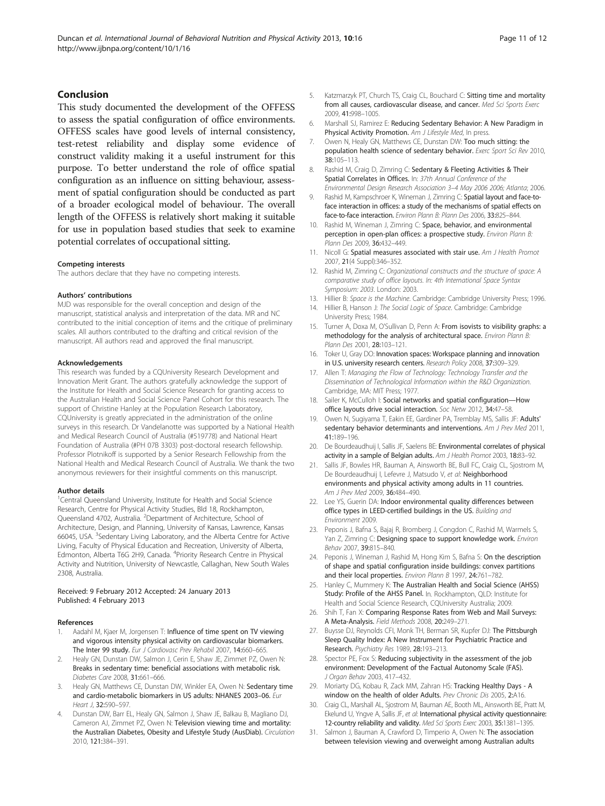# <span id="page-10-0"></span>Conclusion

This study documented the development of the OFFESS to assess the spatial configuration of office environments. OFFESS scales have good levels of internal consistency, test-retest reliability and display some evidence of construct validity making it a useful instrument for this purpose. To better understand the role of office spatial configuration as an influence on sitting behaviour, assessment of spatial configuration should be conducted as part of a broader ecological model of behaviour. The overall length of the OFFESS is relatively short making it suitable for use in population based studies that seek to examine potential correlates of occupational sitting.

#### Competing interests

The authors declare that they have no competing interests.

#### Authors' contributions

MJD was responsible for the overall conception and design of the manuscript, statistical analysis and interpretation of the data. MR and NC contributed to the initial conception of items and the critique of preliminary scales. All authors contributed to the drafting and critical revision of the manuscript. All authors read and approved the final manuscript.

#### Acknowledgements

This research was funded by a CQUniversity Research Development and Innovation Merit Grant. The authors gratefully acknowledge the support of the Institute for Health and Social Science Research for granting access to the Australian Health and Social Science Panel Cohort for this research. The support of Christine Hanley at the Population Research Laboratory, CQUniversity is greatly appreciated in the administration of the online surveys in this research. Dr Vandelanotte was supported by a National Health and Medical Research Council of Australia (#519778) and National Heart Foundation of Australia (#PH 07B 3303) post-doctoral research fellowship. Professor Plotnikoff is supported by a Senior Research Fellowship from the National Health and Medical Research Council of Australia. We thank the two anonymous reviewers for their insightful comments on this manuscript.

#### Author details

<sup>1</sup>Central Queensland University, Institute for Health and Social Science Research, Centre for Physical Activity Studies, Bld 18, Rockhampton, Queensland 4702, Australia. <sup>2</sup>Department of Architecture, School of Architecture, Design, and Planning, University of Kansas, Lawrence, Kansas 66045, USA. <sup>3</sup>Sedentary Living Laboratory, and the Alberta Centre for Active Living, Faculty of Physical Education and Recreation, University of Alberta, Edmonton, Alberta T6G 2H9, Canada. <sup>4</sup>Priority Research Centre in Physical Activity and Nutrition, University of Newcastle, Callaghan, New South Wales 2308, Australia.

#### Received: 9 February 2012 Accepted: 24 January 2013 Published: 4 February 2013

#### References

- Aadahl M, Kjaer M, Jorgensen T: Influence of time spent on TV viewing and vigorous intensity physical activity on cardiovascular biomarkers. The Inter 99 study. Eur J Cardiovasc Prev Rehabil 2007, 14:660-665.
- Healy GN, Dunstan DW, Salmon J, Cerin E, Shaw JE, Zimmet PZ, Owen N: Breaks in sedentary time: beneficial associations with metabolic risk. Diabetes Care 2008, 31:661–666.
- 3. Healy GN, Matthews CE, Dunstan DW, Winkler EA, Owen N: Sedentary time and cardio-metabolic biomarkers in US adults: NHANES 2003–06. Eur Heart J, 32:590–597.
- 4. Dunstan DW, Barr EL, Healy GN, Salmon J, Shaw JE, Balkau B, Magliano DJ, Cameron AJ, Zimmet PZ, Owen N: Television viewing time and mortality: the Australian Diabetes, Obesity and Lifestyle Study (AusDiab). Circulation 2010, 121:384–391.
- 5. Katzmarzyk PT, Church TS, Craig CL, Bouchard C: Sitting time and mortality from all causes, cardiovascular disease, and cancer. Med Sci Sports Exerc 2009, 41:998–1005.
- Marshall SJ, Ramirez E: Reducing Sedentary Behavior: A New Paradigm in Physical Activity Promotion. Am J Lifestyle Med. In press.
- Owen N, Healy GN, Matthews CE, Dunstan DW: Too much sitting: the population health science of sedentary behavior. Exerc Sport Sci Rev 2010, 38:105–113.
- 8. Rashid M, Craig D, Zimring C: Sedentary & Fleeting Activities & Their Spatial Correlates in Offices. In: 37th Annual Conference of the Environmental Design Research Association 3–4 May 2006 2006; Atlanta; 2006.
- 9. Rashid M, Kampschroer K, Wineman J, Zimring C: Spatial layout and face-toface interaction in offices: a study of the mechanisms of spatial effects on face-to-face interaction. Environ Plann B: Plann Des 2006, 33:825–844.
- 10. Rashid M, Wineman J, Zimring C: Space, behavior, and environmental perception in open-plan offices: a prospective study. Environ Plann B: Plann Des 2009, 36:432–449.
- 11. Nicoll G: Spatial measures associated with stair use. Am J Health Promot 2007, 21(4 Suppl):346–352.
- 12. Rashid M, Zimring C: Organizational constructs and the structure of space: A comparative study of office layouts. In: 4th International Space Syntax Symposium: 2003. London: 2003.
- 13. Hillier B: Space is the Machine. Cambridge: Cambridge University Press; 1996.
- 14. Hillier B, Hanson J: The Social Logic of Space. Cambridge: Cambridge University Press; 1984.
- 15. Turner A, Doxa M, O'Sullivan D, Penn A: From isovists to visibility graphs: a methodology for the analysis of architectural space. Environ Plann B: Plann Des 2001, 28:103–121.
- 16. Toker U, Gray DO: Innovation spaces: Workspace planning and innovation in U.S. university research centers. Research Policy 2008, 37:309–329.
- 17. Allen T: Managing the Flow of Technology: Technology Transfer and the Dissemination of Technological Information within the R&D Organization. Cambridge, MA: MIT Press; 1977.
- 18. Sailer K, McCulloh I: Social networks and spatial configuration-How office layouts drive social interaction. Soc Netw 2012, 34:47–58.
- 19. Owen N, Sugiyama T, Eakin EE, Gardiner PA, Tremblay MS, Sallis JF: Adults' sedentary behavior determinants and interventions. Am J Prev Med 2011. 41:189–196.
- 20. De Bourdeaudhuij I, Sallis JF, Saelens BE: Environmental correlates of physical activity in a sample of Belgian adults. Am J Health Promot 2003, 18:83-92.
- 21. Sallis JF, Bowles HR, Bauman A, Ainsworth BE, Bull FC, Craig CL, Sjostrom M, De Bourdeaudhuij I, Lefevre J, Matsudo V, et al: Neighborhood environments and physical activity among adults in 11 countries. Am J Prev Med 2009, 36:484–490.
- 22. Lee YS, Guerin DA: Indoor environmental quality differences between office types in LEED-certified buildings in the US. Building and Environment 2009.
- 23. Peponis J, Bafna S, Bajaj R, Bromberg J, Congdon C, Rashid M, Warmels S, Yan Z, Zimring C: Designing space to support knowledge work. Environ Behav 2007, 39:815–840.
- 24. Peponis J, Wineman J, Rashid M, Hong Kim S, Bafna S; On the description of shape and spatial configuration inside buildings: convex partitions and their local properties. Environ Plann B 1997, 24:761-782.
- 25. Hanley C, Mummery K: The Australian Health and Social Science (AHSS) Study: Profile of the AHSS Panel. In. Rockhampton, QLD: Institute for Health and Social Science Research, CQUniversity Australia; 2009.
- 26. Shih T, Fan X: Comparing Response Rates from Web and Mail Surveys: A Meta-Analysis. Field Methods 2008, 20:249–271.
- 27. Buysse DJ, Reynolds CFI, Monk TH, Berman SR, Kupfer DJ: The Pittsburgh Sleep Quality Index: A New Instrument for Psychiatric Practice and Research. Psychiatry Res 1989, 28:193–213.
- 28. Spector PE, Fox S: Reducing subjectivity in the assessment of the job environment: Development of the Factual Autonomy Scale (FAS). J Organ Behav 2003, 417–432.
- 29. Moriarty DG, Kobau R, Zack MM, Zahran HS: Tracking Healthy Days A window on the health of older Adults. Prev Chronic Dis 2005, 2:A16.
- 30. Craig CL, Marshall AL, Sjostrom M, Bauman AE, Booth ML, Ainsworth BE, Pratt M, Ekelund U, Yngve A, Sallis JF, et al: International physical activity questionnaire: 12-country reliability and validity. Med Sci Sports Exerc 2003, 35:1381-1395.
- 31. Salmon J, Bauman A, Crawford D, Timperio A, Owen N: The association between television viewing and overweight among Australian adults